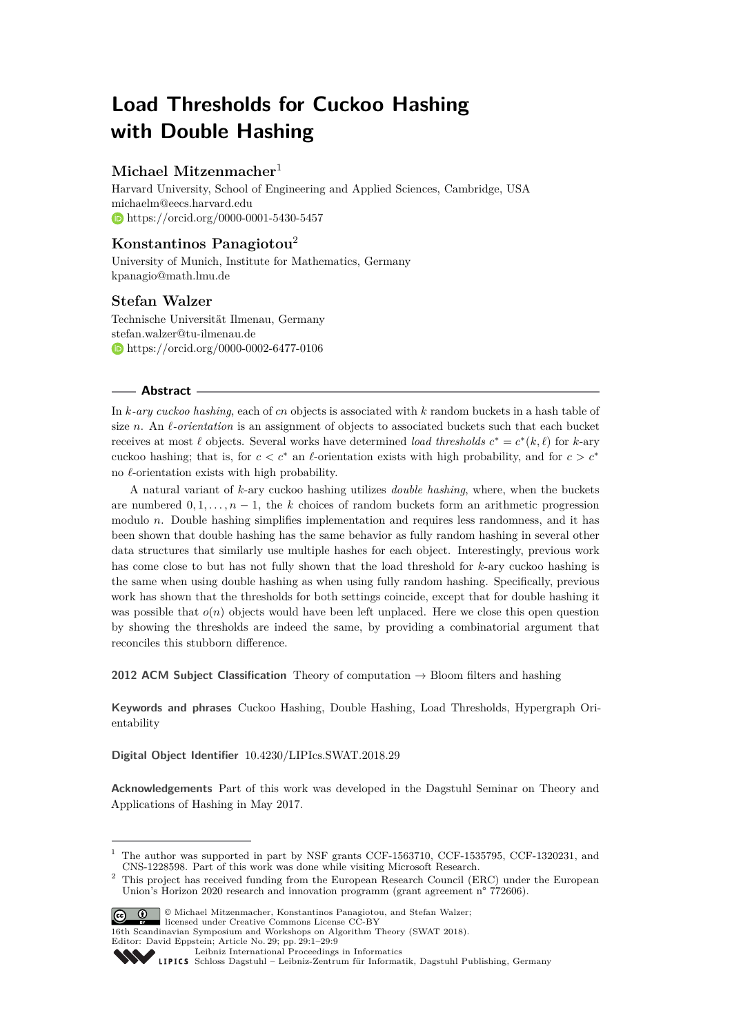# **Load Thresholds for Cuckoo Hashing with Double Hashing**

# **Michael Mitzenmacher**<sup>1</sup>

Harvard University, School of Engineering and Applied Sciences, Cambridge, USA [michaelm@eecs.harvard.edu](mailto:michaelm@eecs.harvard.edu) <https://orcid.org/0000-0001-5430-5457>

# **Konstantinos Panagiotou**<sup>2</sup>

University of Munich, Institute for Mathematics, Germany [kpanagio@math.lmu.de](mailto:kpanagio@math.lmu.de)

# **Stefan Walzer**

Technische Universität Ilmenau, Germany [stefan.walzer@tu-ilmenau.de](mailto:stefan.walzer@tu-ilmenau.de) <https://orcid.org/0000-0002-6477-0106>

## **Abstract**

In *k-ary cuckoo hashing*, each of *cn* objects is associated with *k* random buckets in a hash table of size *n*. An  $\ell$ -orientation is an assignment of objects to associated buckets such that each bucket receives at most  $\ell$  objects. Several works have determined *load thresholds*  $c^* = c^*(k, \ell)$  for *k*-ary cuckoo hashing; that is, for  $c < c^*$  an  $\ell$ -orientation exists with high probability, and for  $c > c^*$ no  $\ell$ -orientation exists with high probability.

A natural variant of *k*-ary cuckoo hashing utilizes *double hashing*, where, when the buckets are numbered  $0, 1, \ldots, n-1$ , the *k* choices of random buckets form an arithmetic progression modulo *n*. Double hashing simplifies implementation and requires less randomness, and it has been shown that double hashing has the same behavior as fully random hashing in several other data structures that similarly use multiple hashes for each object. Interestingly, previous work has come close to but has not fully shown that the load threshold for *k*-ary cuckoo hashing is the same when using double hashing as when using fully random hashing. Specifically, previous work has shown that the thresholds for both settings coincide, except that for double hashing it was possible that  $o(n)$  objects would have been left unplaced. Here we close this open question by showing the thresholds are indeed the same, by providing a combinatorial argument that reconciles this stubborn difference.

**2012 ACM Subject Classification** Theory of computation → Bloom filters and hashing

**Keywords and phrases** Cuckoo Hashing, Double Hashing, Load Thresholds, Hypergraph Orientability

**Digital Object Identifier** [10.4230/LIPIcs.SWAT.2018.29](http://dx.doi.org/10.4230/LIPIcs.SWAT.2018.29)

**Acknowledgements** Part of this work was developed in the Dagstuhl Seminar on Theory and Applications of Hashing in May 2017.

<sup>&</sup>lt;sup>2</sup> This project has received funding from the European Research Council (ERC) under the European Union's Horizon 2020 research and innovation programm (grant agreement n° 772606).



© Michael Mitzenmacher, Konstantinos Panagiotou, and Stefan Walzer; licensed under Creative Commons License CC-BY

16th Scandinavian Symposium and Workshops on Algorithm Theory (SWAT 2018). Editor: David Eppstein; Article No. 29; pp. 29:1–29[:9](#page-8-0)

 $1$  The author was supported in part by NSF grants CCF-1563710, CCF-1535795, CCF-1320231, and CNS-1228598. Part of this work was done while visiting Microsoft Research.

[Leibniz International Proceedings in Informatics](http://www.dagstuhl.de/lipics/)

Leibniz International Froceedings in Informatik, Dagstuhl Publishing, Germany<br>LIPICS [Schloss Dagstuhl – Leibniz-Zentrum für Informatik, Dagstuhl Publishing, Germany](http://www.dagstuhl.de)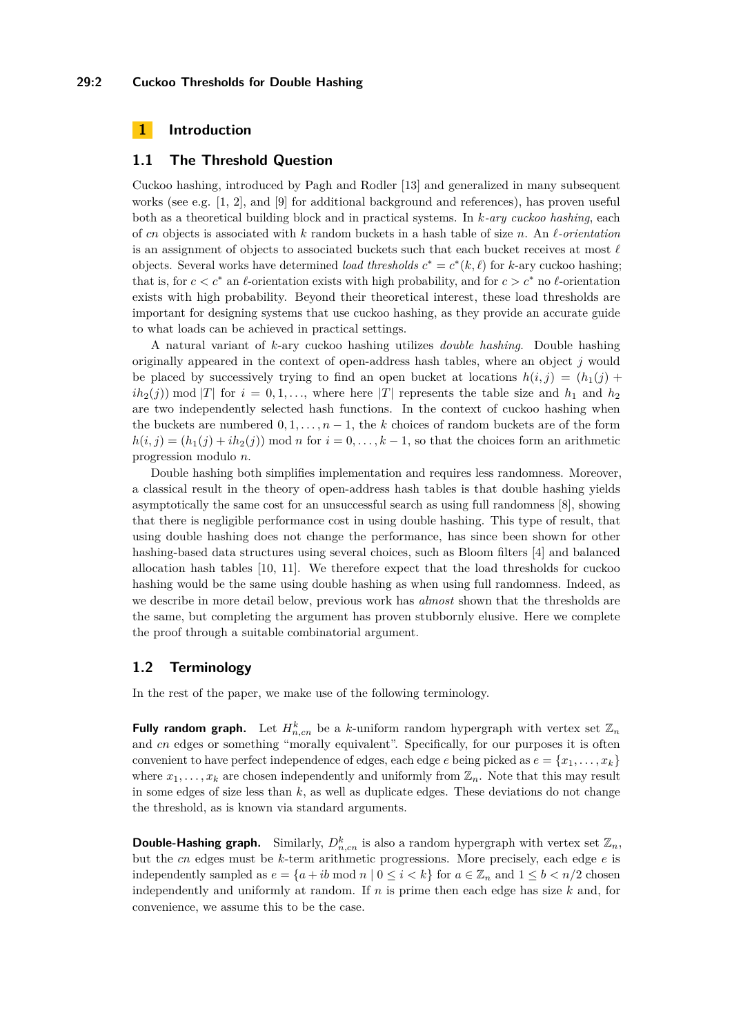#### **29:2 Cuckoo Thresholds for Double Hashing**

# **1 Introduction**

## **1.1 The Threshold Question**

Cuckoo hashing, introduced by Pagh and Rodler [\[13\]](#page-8-1) and generalized in many subsequent works (see e.g. [\[1,](#page-7-0) [2\]](#page-7-1), and [\[9\]](#page-7-2) for additional background and references), has proven useful both as a theoretical building block and in practical systems. In *k-ary cuckoo hashing*, each of *cn* objects is associated with  $k$  random buckets in a hash table of size  $n$ . An  $\ell$ -orientation is an assignment of objects to associated buckets such that each bucket receives at most  $\ell$ objects. Several works have determined *load thresholds*  $c^* = c^*(k, \ell)$  for *k*-ary cuckoo hashing; that is, for  $c < c^*$  an  $\ell$ -orientation exists with high probability, and for  $c > c^*$  no  $\ell$ -orientation exists with high probability. Beyond their theoretical interest, these load thresholds are important for designing systems that use cuckoo hashing, as they provide an accurate guide to what loads can be achieved in practical settings.

A natural variant of *k*-ary cuckoo hashing utilizes *double hashing*. Double hashing originally appeared in the context of open-address hash tables, where an object *j* would be placed by successively trying to find an open bucket at locations  $h(i, j) = (h_1(j) +$  $ih_2(j)$  mod |*T*| for  $i = 0, 1, \ldots$ , where here |*T*| represents the table size and  $h_1$  and  $h_2$ are two independently selected hash functions. In the context of cuckoo hashing when the buckets are numbered  $0, 1, \ldots, n-1$ , the *k* choices of random buckets are of the form  $h(i, j) = (h_1(j) + ih_2(j)) \text{ mod } n$  for  $i = 0, \ldots, k-1$ , so that the choices form an arithmetic progression modulo *n*.

Double hashing both simplifies implementation and requires less randomness. Moreover, a classical result in the theory of open-address hash tables is that double hashing yields asymptotically the same cost for an unsuccessful search as using full randomness [\[8\]](#page-7-3), showing that there is negligible performance cost in using double hashing. This type of result, that using double hashing does not change the performance, has since been shown for other hashing-based data structures using several choices, such as Bloom filters [\[4\]](#page-7-4) and balanced allocation hash tables [\[10,](#page-8-2) [11\]](#page-8-3). We therefore expect that the load thresholds for cuckoo hashing would be the same using double hashing as when using full randomness. Indeed, as we describe in more detail below, previous work has *almost* shown that the thresholds are the same, but completing the argument has proven stubbornly elusive. Here we complete the proof through a suitable combinatorial argument.

## **1.2 Terminology**

In the rest of the paper, we make use of the following terminology.

**Fully random graph.** Let  $H_{n,cn}^k$  be a *k*-uniform random hypergraph with vertex set  $\mathbb{Z}_n$ and *cn* edges or something "morally equivalent". Specifically, for our purposes it is often convenient to have perfect independence of edges, each edge *e* being picked as  $e = \{x_1, \ldots, x_k\}$ where  $x_1, \ldots, x_k$  are chosen independently and uniformly from  $\mathbb{Z}_n$ . Note that this may result in some edges of size less than  $k$ , as well as duplicate edges. These deviations do not change the threshold, as is known via standard arguments.

**Double-Hashing graph.** Similarly,  $D_{n,cn}^k$  is also a random hypergraph with vertex set  $\mathbb{Z}_n$ , but the *cn* edges must be *k*-term arithmetic progressions. More precisely, each edge *e* is independently sampled as  $e = \{a + ib \mod n \mid 0 \le i < k\}$  for  $a \in \mathbb{Z}_n$  and  $1 \le b < n/2$  chosen independently and uniformly at random. If *n* is prime then each edge has size *k* and, for convenience, we assume this to be the case.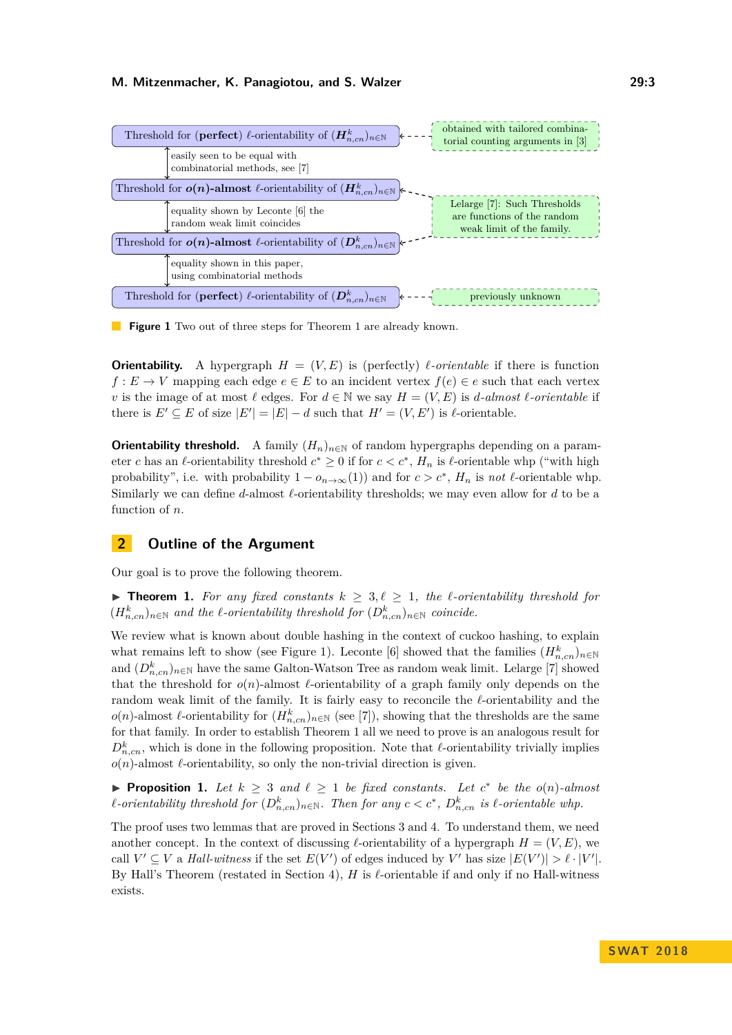<span id="page-2-1"></span>

**Figure 1** Two out of three steps for [Theorem 1](#page-2-0) are already known.

**Orientability.** A hypergraph  $H = (V, E)$  is (perfectly) *l*-orientable if there is function *f* : *E* → *V* mapping each edge  $e \in E$  to an incident vertex  $f(e) \in e$  such that each vertex *v* is the image of at most  $\ell$  edges. For  $d \in \mathbb{N}$  we say  $H = (V, E)$  is *d-almost*  $\ell$ *-orientable* if there is  $E' \subseteq E$  of size  $|E'| = |E| - d$  such that  $H' = (V, E')$  is  $\ell$ -orientable.

**Orientability threshold.** A family  $(H_n)_{n \in \mathbb{N}}$  of random hypergraphs depending on a parameter *c* has an  $\ell$ -orientability threshold  $c^* \geq 0$  if for  $c < c^*$ ,  $H_n$  is  $\ell$ -orientable whp ("with high probability", i.e. with probability  $1 - o_{n \to \infty}(1)$  and for  $c > c^*$ ,  $H_n$  is *not*  $\ell$ -orientable whp. Similarly we can define *d*-almost *l*-orientability thresholds; we may even allow for *d* to be a function of *n*.

# **2 Outline of the Argument**

<span id="page-2-0"></span>Our goal is to prove the following theorem.

▶ **Theorem 1.** For any fixed constants  $k \geq 3, l \geq 1$ , the *l*-orientability threshold for  $(H_{n,cn}^k)_{n \in \mathbb{N}}$  and the  $\ell$ -orientability threshold for  $(D_{n,cn}^k)_{n \in \mathbb{N}}$  coincide.

We review what is known about double hashing in the context of cuckoo hashing, to explain what remains left to show (see [Figure 1\)](#page-2-1). Leconte [\[6\]](#page-7-5) showed that the families  $(H_{n,cn}^k)_{n\in\mathbb{N}}$ and  $(D_{n,m}^k)_{n\in\mathbb{N}}$  have the same Galton-Watson Tree as random weak limit. Lelarge [\[7\]](#page-7-6) showed that the threshold for  $o(n)$ -almost  $\ell$ -orientability of a graph family only depends on the random weak limit of the family. It is fairly easy to reconcile the  $\ell$ -orientability and the *o*(*n*)-almost *ℓ*-orientability for  $(H_{n,cn}^k)_{n \in \mathbb{N}}$  (see [\[7\]](#page-7-6)), showing that the thresholds are the same for that family. In order to establish [Theorem 1](#page-2-0) all we need to prove is an analogous result for  $D_{n,cn}^k$ , which is done in the following proposition. Note that  $\ell$ -orientability trivially implies  $o(n)$ -almost  $\ell$ -orientability, so only the non-trivial direction is given.

<span id="page-2-2"></span>▶ **Proposition 1.** Let  $k \geq 3$  and  $\ell \geq 1$  be fixed constants. Let  $c^*$  be the  $o(n)$ -almost *l*-orientability threshold for  $(D_{n,cn}^k)_{n \in \mathbb{N}}$ . Then for any  $c < c^*$ ,  $D_{n,cn}^k$  is  $\ell$ -orientable whp.

The proof uses two lemmas that are proved in [Sections 3](#page-3-0) and [4.](#page-6-0) To understand them, we need another concept. In the context of discussing  $\ell$ -orientability of a hypergraph  $H = (V, E)$ , we call  $V' \subseteq V$  a *Hall-witness* if the set  $E(V')$  of edges induced by V' has size  $|E(V')| > \ell \cdot |V'|$ . By Hall's Theorem (restated in [Section 4\)](#page-6-0),  $H$  is  $\ell$ -orientable if and only if no Hall-witness exists.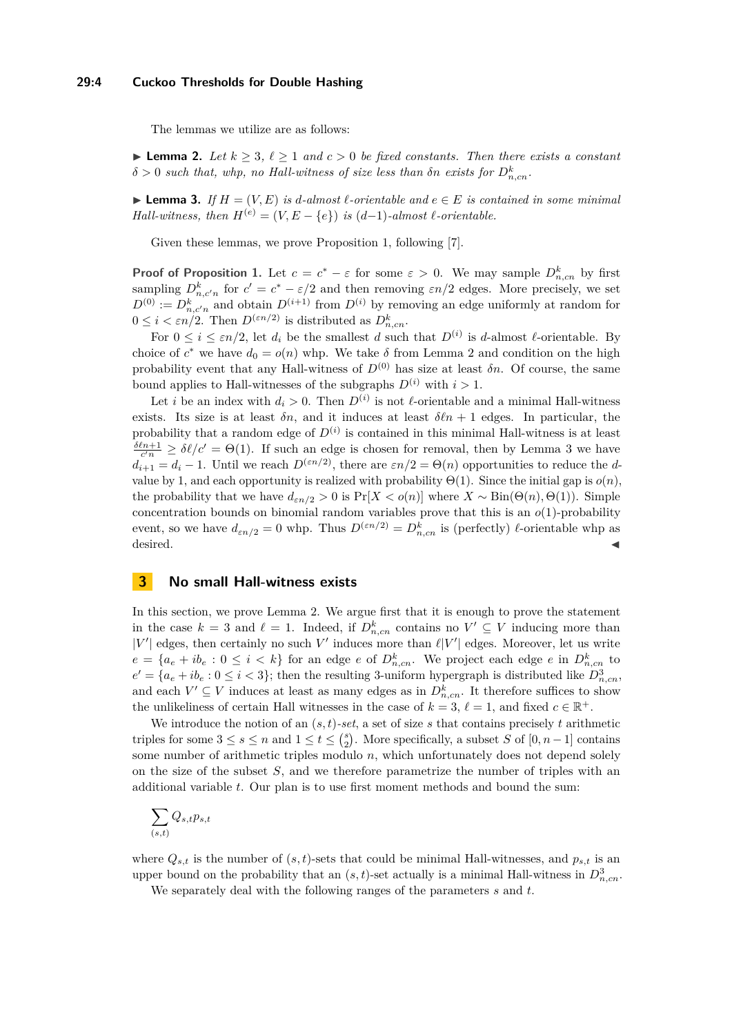#### **29:4 Cuckoo Thresholds for Double Hashing**

The lemmas we utilize are as follows:

<span id="page-3-1"></span>**► Lemma 2.** Let  $k > 3$ ,  $\ell > 1$  and  $c > 0$  be fixed constants. Then there exists a constant  $\delta > 0$  *such that, whp, no Hall-witness of size less than*  $\delta n$  *exists for*  $D_{n,cn}^k$ .

<span id="page-3-2"></span>**► Lemma 3.** *If*  $H = (V, E)$  *is d*-almost  $\ell$ -orientable and  $e \in E$  *is contained in some minimal Hall-witness, then*  $H^{(e)} = (V, E - \{e\})$  *is*  $(d-1)$ *-almost*  $\ell$ *-orientable.* 

Given these lemmas, we prove [Proposition 1,](#page-2-2) following [\[7\]](#page-7-6).

**Proof of [Proposition 1.](#page-2-2)** Let  $c = c^* - \varepsilon$  for some  $\varepsilon > 0$ . We may sample  $D_{n,cn}^k$  by first sampling  $D_{n,c'n}^k$  for  $c' = c^* - \varepsilon/2$  and then removing  $\varepsilon n/2$  edges. More precisely, we set  $D^{(0)} := D_{n,c'n}^k$  and obtain  $D^{(i+1)}$  from  $D^{(i)}$  by removing an edge uniformly at random for  $0 \leq i < \varepsilon n/2$ . Then  $D^{(\varepsilon n/2)}$  is distributed as  $D_{n,\text{cn}}^k$ .

For  $0 \leq i \leq \varepsilon n/2$ , let  $d_i$  be the smallest  $d$  such that  $D^{(i)}$  is  $d$ -almost  $\ell$ -orientable. By choice of  $c^*$  we have  $d_0 = o(n)$  whp. We take  $\delta$  from Lemma [2](#page-3-1) and condition on the high probability event that any Hall-witness of  $D^{(0)}$  has size at least  $\delta n$ . Of course, the same bound applies to Hall-witnesses of the subgraphs  $D^{(i)}$  with  $i > 1$ .

Let *i* be an index with  $d_i > 0$ . Then  $D^{(i)}$  is not  $\ell$ -orientable and a minimal Hall-witness exists. Its size is at least  $\delta n$ , and it induces at least  $\delta \ell n + 1$  edges. In particular, the probability that a random edge of  $D^{(i)}$  is contained in this minimal Hall-witness is at least  $\frac{\delta \ell n+1}{c'n} \geq \delta \ell/c' = \Theta(1)$ . If such an edge is chosen for removal, then by Lemma [3](#page-3-2) we have  $d_{i+1} = d_i - 1$ . Until we reach  $D^{(\varepsilon n/2)}$ , there are  $\varepsilon n/2 = \Theta(n)$  opportunities to reduce the *d*value by 1, and each opportunity is realized with probability  $\Theta(1)$ . Since the initial gap is  $o(n)$ , the probability that we have  $d_{\epsilon n/2} > 0$  is  $Pr[X < o(n)]$  where  $X \sim Bin(\Theta(n), \Theta(1))$ . Simple concentration bounds on binomial random variables prove that this is an *o*(1)-probability event, so we have  $d_{\varepsilon n/2} = 0$  whp. Thus  $D^{(\varepsilon n/2)} = D^k_{n,cn}$  is (perfectly)  $\ell$ -orientable whp as  $\blacksquare$ desired.

## <span id="page-3-0"></span>**3 No small Hall-witness exists**

In this section, we prove Lemma [2.](#page-3-1) We argue first that it is enough to prove the statement in the case  $k = 3$  and  $\ell = 1$ . Indeed, if  $D_{n,cn}^k$  contains no  $V' \subseteq V$  inducing more than  $|V'|$  edges, then certainly no such V' induces more than  $\ell |V'|$  edges. Moreover, let us write  $e = \{a_e + ib_e : 0 \leq i \leq k\}$  for an edge *e* of  $D_{n,cn}^k$ . We project each edge *e* in  $D_{n,cn}^k$  to  $e' = \{a_e + ib_e : 0 \leq i < 3\}$ ; then the resulting 3-uniform hypergraph is distributed like  $D_{n,cn}^3$ , and each  $V' \subseteq V$  induces at least as many edges as in  $D_{n,cn}^k$ . It therefore suffices to show the unlikeliness of certain Hall witnesses in the case of  $k = 3$ ,  $\ell = 1$ , and fixed  $c \in \mathbb{R}^+$ .

We introduce the notion of an  $(s, t)$ -set, a set of size s that contains precisely t arithmetic triples for some  $3 \leq s \leq n$  and  $1 \leq t \leq {s \choose 2}$ . More specifically, a subset *S* of  $[0, n-1]$  contains some number of arithmetic triples modulo *n*, which unfortunately does not depend solely on the size of the subset *S*, and we therefore parametrize the number of triples with an additional variable *t*. Our plan is to use first moment methods and bound the sum:

$$
\sum_{(s,t)} Q_{s,t} p_{s,t}
$$

where  $Q_{s,t}$  is the number of  $(s,t)$ -sets that could be minimal Hall-witnesses, and  $p_{s,t}$  is an upper bound on the probability that an  $(s, t)$ -set actually is a minimal Hall-witness in  $D_{n,cn}^3$ .

We separately deal with the following ranges of the parameters *s* and *t*.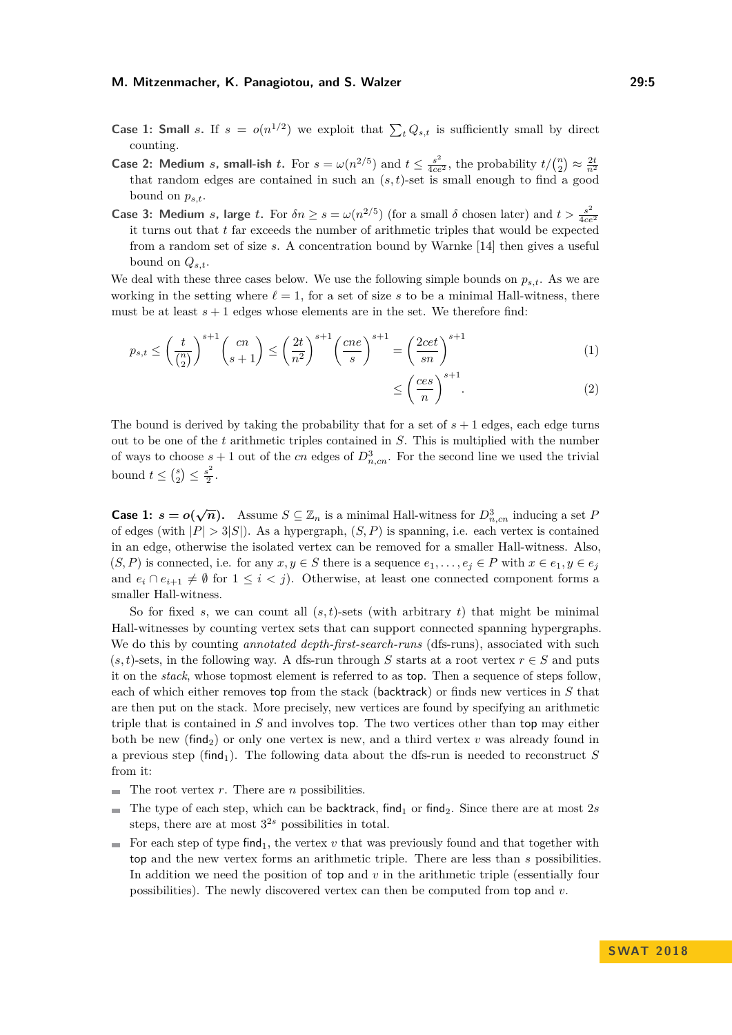#### **M. Mitzenmacher, K. Panagiotou, and S. Walzer 29:5**

- **Case 1: Small** *s***.** If  $s = o(n^{1/2})$  we exploit that  $\sum_{t} Q_{s,t}$  is sufficiently small by direct counting.
- **Case 2: Medium** *s***, small-ish** *t***. For**  $s = \omega(n^{2/5})$  **and**  $t \le \frac{s^2}{4ce^2}$ **, the probability**  $t/(n/2) \approx \frac{2t}{n^2}$ that random edges are contained in such an (*s, t*)-set is small enough to find a good bound on  $p_{s,t}$ .
- **Case 3: Medium** *s*, large *t*. For  $\delta n \ge s = \omega(n^{2/5})$  (for a small  $\delta$  chosen later) and  $t > \frac{s^2}{4c\epsilon}$ 4*ce*<sup>2</sup> it turns out that *t* far exceeds the number of arithmetic triples that would be expected from a random set of size *s*. A concentration bound by Warnke [\[14\]](#page-8-4) then gives a useful bound on  $Q_{s,t}$ .

We deal with these three cases below. We use the following simple bounds on  $p_{s,t}$ . As we are working in the setting where  $\ell = 1$ , for a set of size s to be a minimal Hall-witness, there must be at least  $s + 1$  edges whose elements are in the set. We therefore find:

$$
p_{s,t} \le \left(\frac{t}{\binom{n}{2}}\right)^{s+1} \binom{cn}{s+1} \le \left(\frac{2t}{n^2}\right)^{s+1} \left(\frac{cne}{s}\right)^{s+1} = \left(\frac{2cet}{sn}\right)^{s+1} \tag{1}
$$

<span id="page-4-1"></span><span id="page-4-0"></span>
$$
\leq \left(\frac{ces}{n}\right)^{s+1}.\tag{2}
$$

The bound is derived by taking the probability that for a set of  $s + 1$  edges, each edge turns out to be one of the *t* arithmetic triples contained in *S*. This is multiplied with the number of ways to choose  $s + 1$  out of the *cn* edges of  $D_{n,cn}^3$ . For the second line we used the trivial bound  $t \leq {s \choose 2} \leq \frac{s^2}{2}$  $\frac{s}{2}$ .

**Case 1:**  $s = o(\sqrt{n})$ . Assume  $S \subseteq \mathbb{Z}_n$  is a minimal Hall-witness for  $D^3_{n,cn}$  inducing a set *P* of edges (with  $|P| > 3|S|$ ). As a hypergraph,  $(S, P)$  is spanning, i.e. each vertex is contained in an edge, otherwise the isolated vertex can be removed for a smaller Hall-witness. Also,  $(S, P)$  is connected, i.e. for any  $x, y \in S$  there is a sequence  $e_1, \ldots, e_i \in P$  with  $x \in e_1, y \in e_j$ and  $e_i \cap e_{i+1} \neq \emptyset$  for  $1 \leq i < j$ ). Otherwise, at least one connected component forms a smaller Hall-witness.

So for fixed *s*, we can count all  $(s, t)$ -sets (with arbitrary *t*) that might be minimal Hall-witnesses by counting vertex sets that can support connected spanning hypergraphs. We do this by counting *annotated depth-first-search-runs* (dfs-runs), associated with such  $(s, t)$ -sets, in the following way. A dfs-run through *S* starts at a root vertex  $r \in S$  and puts it on the *stack*, whose topmost element is referred to as top. Then a sequence of steps follow, each of which either removes top from the stack (backtrack) or finds new vertices in *S* that are then put on the stack. More precisely, new vertices are found by specifying an arithmetic triple that is contained in *S* and involves top. The two vertices other than top may either both be new (find<sub>2</sub>) or only one vertex is new, and a third vertex  $v$  was already found in a previous step (find<sub>1</sub>). The following data about the dfs-run is needed to reconstruct  $S$ from it:

- $\blacksquare$  The root vertex *r*. There are *n* possibilities.
- The type of each step, which can be backtrack, find<sub>1</sub> or find<sub>2</sub>. Since there are at most 2*s*  $\mathbf{r}$ steps, there are at most  $3^{2s}$  possibilities in total.
- For each step of type find<sub>1</sub>, the vertex  $v$  that was previously found and that together with  $\sim$ top and the new vertex forms an arithmetic triple. There are less than *s* possibilities. In addition we need the position of top and *v* in the arithmetic triple (essentially four possibilities). The newly discovered vertex can then be computed from top and *v*.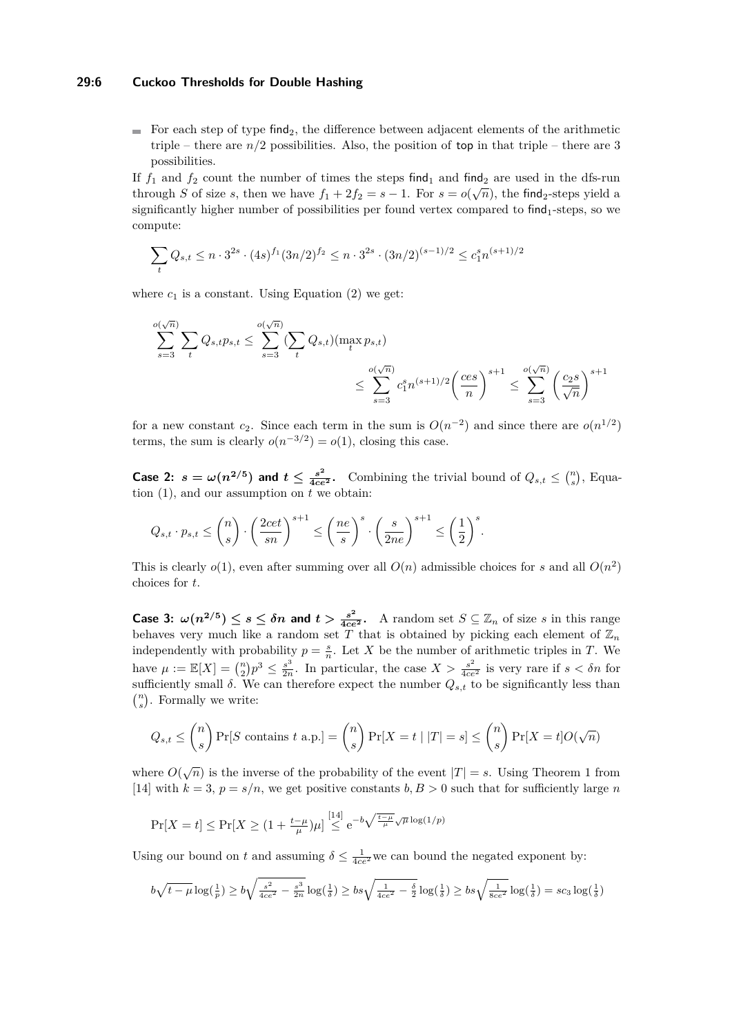## **29:6 Cuckoo Thresholds for Double Hashing**

For each step of type find<sub>2</sub>, the difference between adjacent elements of the arithmetic triple – there are  $n/2$  possibilities. Also, the position of top in that triple – there are 3 possibilities.

If  $f_1$  and  $f_2$  count the number of times the steps find<sub>1</sub> and find<sub>2</sub> are used in the dfs-run through *S* of size *s*, then we have  $f_1 + 2f_2 = s - 1$ . For  $s = o(\sqrt{n})$ , the find<sub>2</sub>-steps yield a significantly higher number of possibilities per found vertex compared to find<sub>1</sub>-steps, so we compute:

$$
\sum_{t} Q_{s,t} \leq n \cdot 3^{2s} \cdot (4s)^{f_1} (3n/2)^{f_2} \leq n \cdot 3^{2s} \cdot (3n/2)^{(s-1)/2} \leq c_1^s n^{(s+1)/2}
$$

where  $c_1$  is a constant. Using [Equation \(2\)](#page-4-0) we get:

$$
\sum_{s=3}^{o(\sqrt{n})} \sum_{t} Q_{s,t} p_{s,t} \le \sum_{s=3}^{o(\sqrt{n})} (\sum_{t} Q_{s,t}) (\max_t p_{s,t})
$$
  

$$
\le \sum_{s=3}^{o(\sqrt{n})} c_1^s n^{(s+1)/2} \left(\frac{ces}{n}\right)^{s+1} \le \sum_{s=3}^{o(\sqrt{n})} \left(\frac{c_2 s}{\sqrt{n}}\right)^{s+1}
$$

for a new constant  $c_2$ . Since each term in the sum is  $O(n^{-2})$  and since there are  $o(n^{1/2})$ terms, the sum is clearly  $o(n^{-3/2}) = o(1)$ , closing this case.

**Case 2:**  $s = \omega(n^{2/5})$  and  $t \le \frac{s^2}{4ce^2}$ . Combining the trivial bound of  $Q_{s,t} \le {n \choose s}$ , [Equa](#page-4-1)[tion \(1\),](#page-4-1) and our assumption on *t* we obtain:

$$
Q_{s,t} \cdot p_{s,t} \le \binom{n}{s} \cdot \left(\frac{2cet}{sn}\right)^{s+1} \le \left(\frac{ne}{s}\right)^s \cdot \left(\frac{s}{2ne}\right)^{s+1} \le \left(\frac{1}{2}\right)^s.
$$

This is clearly  $o(1)$ , even after summing over all  $O(n)$  admissible choices for *s* and all  $O(n^2)$ choices for *t*.

**Case 3:**  $\omega(n^{2/5}) \le s \le \delta n$  and  $t > \frac{s^2}{4ce^2}$ . A random set  $S \subseteq \mathbb{Z}_n$  of size s in this range behaves very much like a random set  $\widetilde{T}$  that is obtained by picking each element of  $\mathbb{Z}_n$ independently with probability  $p = \frac{s}{n}$ . Let *X* be the number of arithmetic triples in *T*. We have  $\mu := \mathbb{E}[X] = \binom{n}{2} p^3 \le \frac{s^3}{2n}$  $\frac{s^3}{2n}$ . In particular, the case  $X > \frac{s^2}{4ce^2}$  is very rare if  $s < \delta n$  for sufficiently small  $\delta$ . We can therefore expect the number  $Q_{s,t}$  to be significantly less than  $\binom{n}{s}$ . Formally we write:

$$
Q_{s,t} \leq \binom{n}{s} \Pr[S \text{ contains } t \text{ a.p.}] = \binom{n}{s} \Pr[X = t \mid |T| = s] \leq \binom{n}{s} \Pr[X = t] O(\sqrt{n})
$$

where  $O(\sqrt{n})$  is the inverse of the probability of the event  $|T| = s$ . Using Theorem 1 from [\[14\]](#page-8-4) with  $k = 3$ ,  $p = s/n$ , we get positive constants  $b, B > 0$  such that for sufficiently large *n* 

$$
\Pr[X = t] \le \Pr[X \ge (1 + \frac{t - \mu}{\mu})\mu] \stackrel{[14]}{\le} e^{-b\sqrt{\frac{t - \mu}{\mu}}\sqrt{\mu}\log(1/p)}
$$

Using our bound on *t* and assuming  $\delta \leq \frac{1}{4ce^2}$  we can bound the negated exponent by:

$$
b\sqrt{t-\mu}\log(\tfrac{1}{p})\geq b\sqrt{\tfrac{s^2}{4ce^2}-\tfrac{s^3}{2n}}\log(\tfrac{1}{\delta})\geq bs\sqrt{\tfrac{1}{4ce^2}-\tfrac{\delta}{2}}\log(\tfrac{1}{\delta})\geq bs\sqrt{\tfrac{1}{8ce^2}}\log(\tfrac{1}{\delta})=sc_3\log(\tfrac{1}{\delta})
$$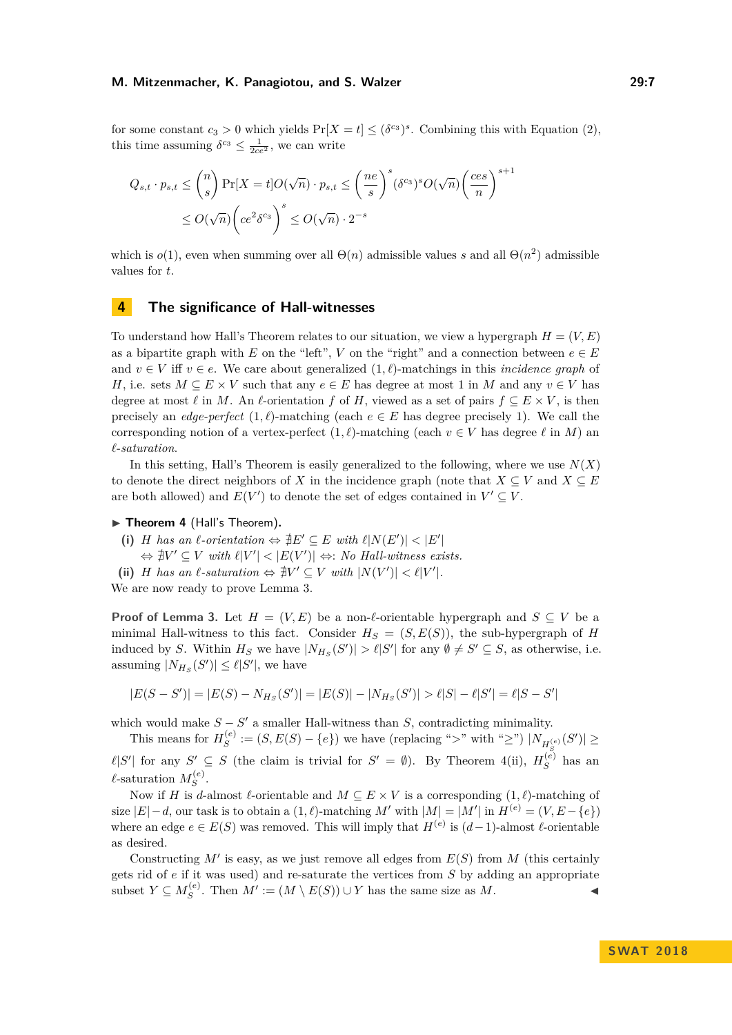#### **M. Mitzenmacher, K. Panagiotou, and S. Walzer 29:7**

for some constant  $c_3 > 0$  which yields  $Pr[X = t] \leq (\delta^{c_3})^s$ . Combining this with [Equation \(2\),](#page-4-0) this time assuming  $\delta^{c_3} \leq \frac{1}{2ce^2}$ , we can write

$$
Q_{s,t} \cdot p_{s,t} \leq {n \choose s} \Pr[X = t] O(\sqrt{n}) \cdot p_{s,t} \leq \left(\frac{ne}{s}\right)^s (\delta^{c_3})^s O(\sqrt{n}) \left(\frac{ces}{n}\right)^{s+1}
$$
  

$$
\leq O(\sqrt{n}) \left(ce^2 \delta^{c_3}\right)^s \leq O(\sqrt{n}) \cdot 2^{-s}
$$

which is  $o(1)$ , even when summing over all  $\Theta(n)$  admissible values *s* and all  $\Theta(n^2)$  admissible values for *t*.

## <span id="page-6-0"></span>**4 The significance of Hall-witnesses**

To understand how Hall's Theorem relates to our situation, we view a hypergraph  $H = (V, E)$ as a bipartite graph with *E* on the "left", *V* on the "right" and a connection between  $e \in E$ and  $v \in V$  iff  $v \in e$ . We care about generalized  $(1, \ell)$ -matchings in this *incidence graph* of *H*, i.e. sets  $M \subseteq E \times V$  such that any  $e \in E$  has degree at most 1 in *M* and any  $v \in V$  has degree at most  $\ell$  in *M*. An  $\ell$ -orientation *f* of *H*, viewed as a set of pairs  $f \subseteq E \times V$ , is then precisely an *edge-perfect*  $(1, \ell)$ -matching (each  $e \in E$  has degree precisely 1). We call the corresponding notion of a vertex-perfect  $(1, \ell)$ -matching (each  $v \in V$  has degree  $\ell$  in *M*) and *`*-*saturation*.

In this setting, Hall's Theorem is easily generalized to the following, where we use  $N(X)$ to denote the direct neighbors of *X* in the incidence graph (note that  $X \subseteq V$  and  $X \subseteq E$ are both allowed) and  $E(V')$  to denote the set of edges contained in  $V' \subseteq V$ .

#### <span id="page-6-1"></span>▶ Theorem 4 (Hall's Theorem).

- (i) *H* has an  $\ell$ -orientation  $\Leftrightarrow \#E' \subseteq E$  with  $\ell |N(E')| < |E'|$ 
	- $\Leftrightarrow \nexists V' \subseteq V \text{ with } \ell|V'| < |E(V')| \Leftrightarrow: No\ \text{Hall-witness exists.}$
- (ii) *H* has an  $\ell$ -saturation  $\Leftrightarrow \nexists V' \subseteq V$  with  $|N(V')| < \ell |V'|$ .

We are now ready to prove Lemma [3.](#page-3-2)

**Proof of Lemma [3.](#page-3-2)** Let  $H = (V, E)$  be a non- $\ell$ -orientable hypergraph and  $S \subseteq V$  be a minimal Hall-witness to this fact. Consider  $H_S = (S, E(S))$ , the sub-hypergraph of *H* induced by *S*. Within  $H_S$  we have  $|N_{H_S}(S')| > \ell |S'|$  for any  $\emptyset \neq S' \subseteq S$ , as otherwise, i.e. assuming  $|N_{H_S}(S')| \leq \ell |S'|$ , we have

$$
|E(S - S')| = |E(S) - N_{H_S}(S')| = |E(S)| - |N_{H_S}(S')| > \ell|S| - \ell|S'| = \ell|S - S'|
$$

which would make  $S - S'$  a smaller Hall-witness than  $S$ , contradicting minimality.

This means for  $H_S^{(e)}$  $S^{(e)}$  := (*S*, *E*(*S*) − {*e*}) we have (replacing ">" with "≥")  $|N_{H_S^{(e)}}(S')|$  ≥  $\ell |S'|$  for any *S*<sup> $\ell$ </sup> ⊆ *S* (the claim is trivial for *S*<sup> $\ell$ </sup> = ∅). By [Theorem 4\(](#page-6-1)ii),  $H_S^{(e)}$  $S^{(e)}$  has an  $\ell$ -saturation  $M_S^{(e)}$ *S* .

Now if *H* is *d*-almost  $\ell$ -orientable and  $M \subseteq E \times V$  is a corresponding  $(1, \ell)$ -matching of size  $|E|-d$ , our task is to obtain a  $(1, \ell)$ -matching  $M'$  with  $|M| = |M'|$  in  $H^{(e)} = (V, E - \{e\})$ where an edge  $e \in E(S)$  was removed. This will imply that  $H^{(e)}$  is  $(d-1)$ -almost  $\ell$ -orientable as desired.

Constructing  $M'$  is easy, as we just remove all edges from  $E(S)$  from  $M$  (this certainly gets rid of *e* if it was used) and re-saturate the vertices from *S* by adding an appropriate subset  $Y \subseteq M_S^{(e)}$  $S^{(e)}$ . Then  $M' := (M \setminus E(S)) \cup Y$  has the same size as *M*.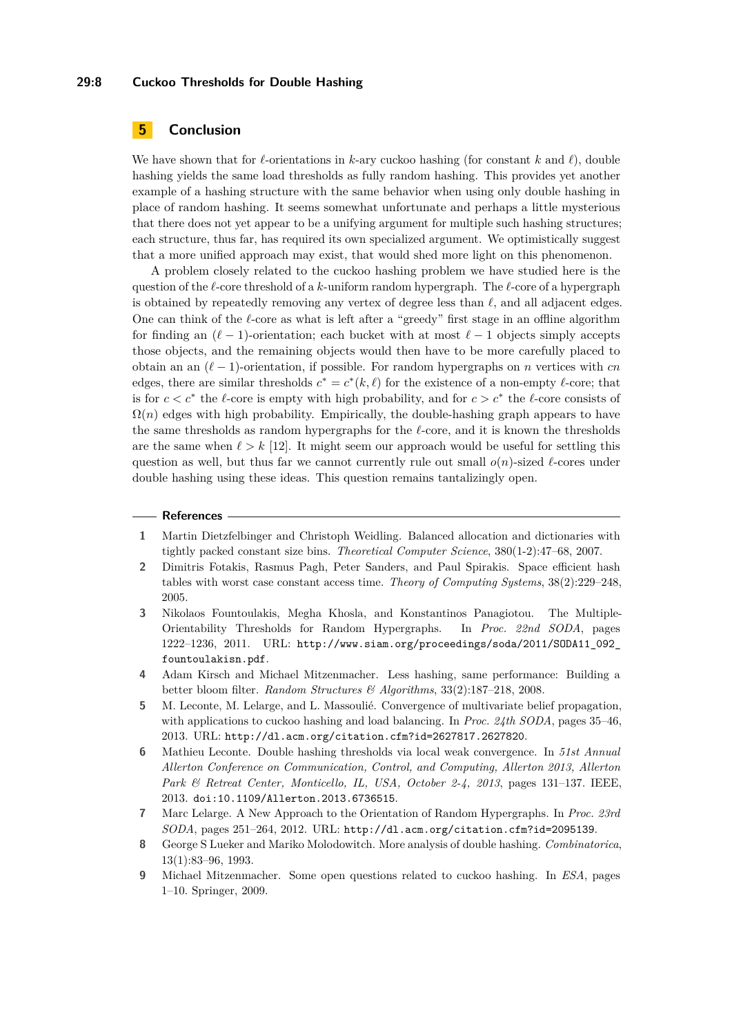#### **29:8 Cuckoo Thresholds for Double Hashing**

# **5 Conclusion**

We have shown that for  $\ell$ -orientations in *k*-ary cuckoo hashing (for constant *k* and  $\ell$ ), double hashing yields the same load thresholds as fully random hashing. This provides yet another example of a hashing structure with the same behavior when using only double hashing in place of random hashing. It seems somewhat unfortunate and perhaps a little mysterious that there does not yet appear to be a unifying argument for multiple such hashing structures; each structure, thus far, has required its own specialized argument. We optimistically suggest that a more unified approach may exist, that would shed more light on this phenomenon.

A problem closely related to the cuckoo hashing problem we have studied here is the question of the  $\ell$ -core threshold of a *k*-uniform random hypergraph. The  $\ell$ -core of a hypergraph is obtained by repeatedly removing any vertex of degree less than  $\ell$ , and all adjacent edges. One can think of the  $\ell$ -core as what is left after a "greedy" first stage in an offline algorithm for finding an  $(\ell - 1)$ -orientation; each bucket with at most  $\ell - 1$  objects simply accepts those objects, and the remaining objects would then have to be more carefully placed to obtain an an  $(\ell - 1)$ -orientation, if possible. For random hypergraphs on *n* vertices with *cn* edges, there are similar thresholds  $c^* = c^*(k, \ell)$  for the existence of a non-empty  $\ell$ -core; that is for  $c < c^*$  the  $\ell$ -core is empty with high probability, and for  $c > c^*$  the  $\ell$ -core consists of  $\Omega(n)$  edges with high probability. Empirically, the double-hashing graph appears to have the same thresholds as random hypergraphs for the  $\ell$ -core, and it is known the thresholds are the same when  $\ell > k$  [\[12\]](#page-8-5). It might seem our approach would be useful for settling this question as well, but thus far we cannot currently rule out small  $o(n)$ -sized  $\ell$ -cores under double hashing using these ideas. This question remains tantalizingly open.

#### **References**

- <span id="page-7-0"></span>**1** Martin Dietzfelbinger and Christoph Weidling. Balanced allocation and dictionaries with tightly packed constant size bins. *Theoretical Computer Science*, 380(1-2):47–68, 2007.
- <span id="page-7-1"></span>**2** Dimitris Fotakis, Rasmus Pagh, Peter Sanders, and Paul Spirakis. Space efficient hash tables with worst case constant access time. *Theory of Computing Systems*, 38(2):229–248, 2005.
- **3** Nikolaos Fountoulakis, Megha Khosla, and Konstantinos Panagiotou. The Multiple-Orientability Thresholds for Random Hypergraphs. In *Proc. 22nd SODA*, pages 1222–1236, 2011. URL: [http://www.siam.org/proceedings/soda/2011/SODA11\\_092\\_](http://www.siam.org/proceedings/soda/2011/SODA11_092_fountoulakisn.pdf) [fountoulakisn.pdf](http://www.siam.org/proceedings/soda/2011/SODA11_092_fountoulakisn.pdf).
- <span id="page-7-4"></span>**4** Adam Kirsch and Michael Mitzenmacher. Less hashing, same performance: Building a better bloom filter. *Random Structures & Algorithms*, 33(2):187–218, 2008.
- **5** M. Leconte, M. Lelarge, and L. Massoulié. Convergence of multivariate belief propagation, with applications to cuckoo hashing and load balancing. In *Proc. 24th SODA*, pages 35–46, 2013. URL: <http://dl.acm.org/citation.cfm?id=2627817.2627820>.
- <span id="page-7-5"></span>**6** Mathieu Leconte. Double hashing thresholds via local weak convergence. In *51st Annual Allerton Conference on Communication, Control, and Computing, Allerton 2013, Allerton Park & Retreat Center, Monticello, IL, USA, October 2-4, 2013*, pages 131–137. IEEE, 2013. [doi:10.1109/Allerton.2013.6736515](http://dx.doi.org/10.1109/Allerton.2013.6736515).
- <span id="page-7-6"></span>**7** Marc Lelarge. A New Approach to the Orientation of Random Hypergraphs. In *Proc. 23rd SODA*, pages 251–264, 2012. URL: <http://dl.acm.org/citation.cfm?id=2095139>.
- <span id="page-7-3"></span>**8** George S Lueker and Mariko Molodowitch. More analysis of double hashing. *Combinatorica*, 13(1):83–96, 1993.
- <span id="page-7-2"></span>**9** Michael Mitzenmacher. Some open questions related to cuckoo hashing. In *ESA*, pages 1–10. Springer, 2009.